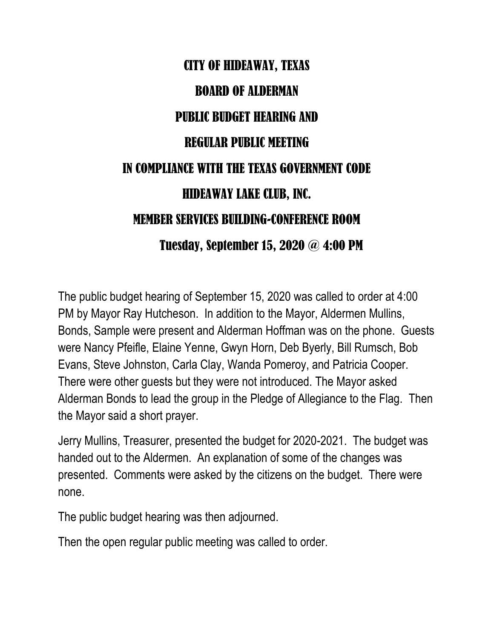## CITY OF HIDEAWAY, TEXAS BOARD OF ALDERMAN PUBLIC BUDGET HEARING AND REGULAR PUBLIC MEETING IN COMPLIANCE WITH THE TEXAS GOVERNMENT CODE HIDEAWAY LAKE CLUB, INC. MEMBER SERVICES BUILDING-CONFERENCE ROOM Tuesday, September 15, 2020 @ 4:00 PM

The public budget hearing of September 15, 2020 was called to order at 4:00 PM by Mayor Ray Hutcheson. In addition to the Mayor, Aldermen Mullins, Bonds, Sample were present and Alderman Hoffman was on the phone. Guests were Nancy Pfeifle, Elaine Yenne, Gwyn Horn, Deb Byerly, Bill Rumsch, Bob Evans, Steve Johnston, Carla Clay, Wanda Pomeroy, and Patricia Cooper. There were other guests but they were not introduced. The Mayor asked Alderman Bonds to lead the group in the Pledge of Allegiance to the Flag. Then the Mayor said a short prayer.

Jerry Mullins, Treasurer, presented the budget for 2020-2021. The budget was handed out to the Aldermen. An explanation of some of the changes was presented. Comments were asked by the citizens on the budget. There were none.

The public budget hearing was then adjourned.

Then the open regular public meeting was called to order.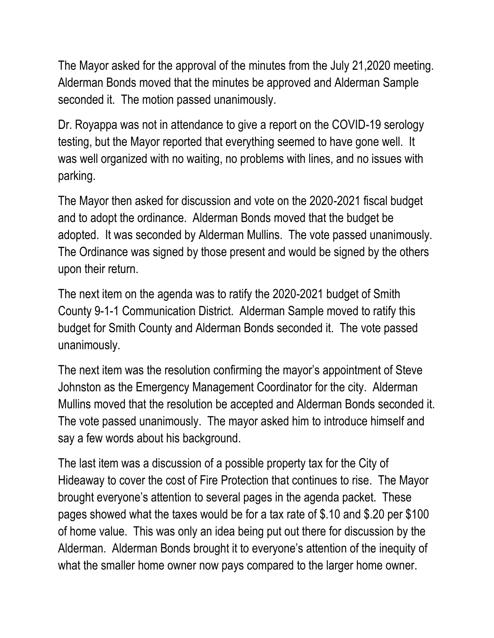The Mayor asked for the approval of the minutes from the July 21,2020 meeting. Alderman Bonds moved that the minutes be approved and Alderman Sample seconded it. The motion passed unanimously.

Dr. Royappa was not in attendance to give a report on the COVID-19 serology testing, but the Mayor reported that everything seemed to have gone well. It was well organized with no waiting, no problems with lines, and no issues with parking.

The Mayor then asked for discussion and vote on the 2020-2021 fiscal budget and to adopt the ordinance. Alderman Bonds moved that the budget be adopted. It was seconded by Alderman Mullins. The vote passed unanimously. The Ordinance was signed by those present and would be signed by the others upon their return.

The next item on the agenda was to ratify the 2020-2021 budget of Smith County 9-1-1 Communication District. Alderman Sample moved to ratify this budget for Smith County and Alderman Bonds seconded it. The vote passed unanimously.

The next item was the resolution confirming the mayor's appointment of Steve Johnston as the Emergency Management Coordinator for the city. Alderman Mullins moved that the resolution be accepted and Alderman Bonds seconded it. The vote passed unanimously. The mayor asked him to introduce himself and say a few words about his background.

The last item was a discussion of a possible property tax for the City of Hideaway to cover the cost of Fire Protection that continues to rise. The Mayor brought everyone's attention to several pages in the agenda packet. These pages showed what the taxes would be for a tax rate of \$.10 and \$.20 per \$100 of home value. This was only an idea being put out there for discussion by the Alderman. Alderman Bonds brought it to everyone's attention of the inequity of what the smaller home owner now pays compared to the larger home owner.